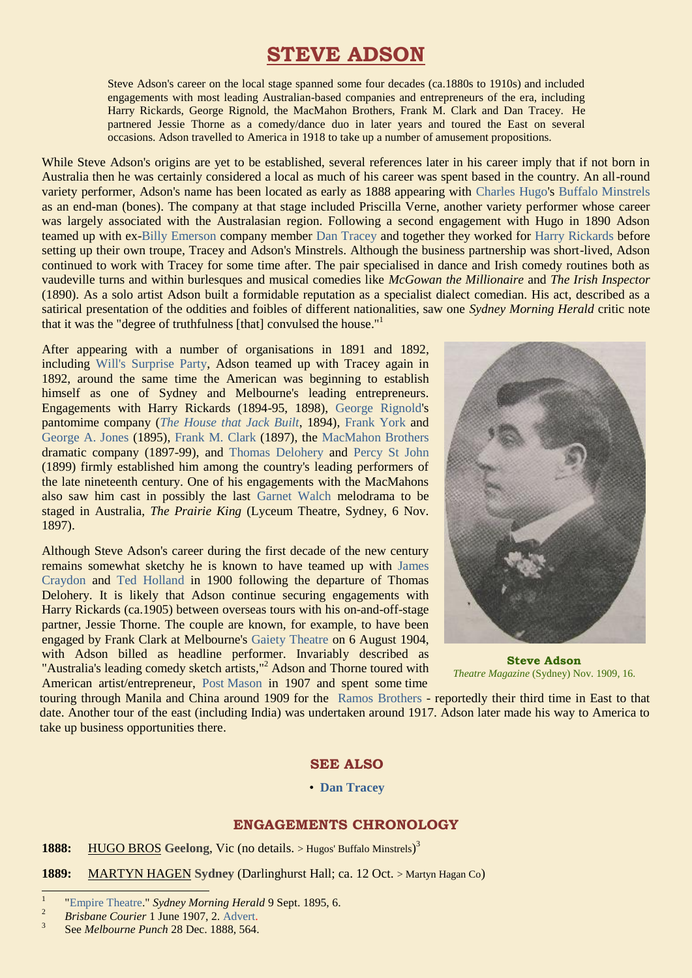# **STEVE ADSON**

Steve Adson's career on the local stage spanned some four decades (ca.1880s to 1910s) and included engagements with most leading Australian-based companies and entrepreneurs of the era, including Harry Rickards, George Rignold, the MacMahon Brothers, Frank M. Clark and Dan Tracey. He partnered Jessie Thorne as a comedy/dance duo in later years and toured the East on several occasions. Adson travelled to America in 1918 to take up a number of amusement propositions.

While Steve Adson's origins are yet to be established, several references later in his career imply that if not born in Australia then he was certainly considered a local as much of his career was spent based in the country. An all-round variety performer, Adson's name has been located as early as 1888 appearing with [Charles Hugo'](http://ozvta.com/practitioners-h/)s [Buffalo Minstrels](http://ozvta.com/troupes-g-l/) as an end-man (bones). The company at that stage included Priscilla Verne, another variety performer whose career was largely associated with the Australasian region. Following a second engagement with Hugo in 1890 Adson teamed up with ex[-Billy Emerson](http://ozvta.com/practitioners-e/) company member [Dan Tracey](https://ozvta.com/entrepreneurs-s-z/) and together they worked for [Harry Rickards](https://ozvta.com/entrepreneurs-m-r/) before setting up their own troupe, Tracey and Adson's Minstrels. Although the business partnership was short-lived, Adson continued to work with Tracey for some time after. The pair specialised in dance and Irish comedy routines both as vaudeville turns and within burlesques and musical comedies like *McGowan the Millionaire* and *The Irish Inspector*  (1890). As a solo artist Adson built a formidable reputation as a specialist dialect comedian. His act, described as a satirical presentation of the oddities and foibles of different nationalities, saw one *Sydney Morning Herald* critic note that it was the "degree of truthfulness [that] convulsed the house."<sup>1</sup>

After appearing with a number of organisations in 1891 and 1892, including [Will's Surprise Party,](http://ozvta.com/troupes-s-z/) Adson teamed up with Tracey again in 1892, around the same time the American was beginning to establish himself as one of Sydney and Melbourne's leading entrepreneurs. Engagements with Harry Rickards (1894-95, 1898), [George Rignold's](http://ozvta.com/practitioners-other-m-z/) pantomime company (*[The House that Jack Built](https://ozvta.com/1890s/)*, 1894), [Frank York](http://ozvta.com/practitioners-xyz/) and [George A. Jones](http://ozvta.com/practitioners-i-j/) (1895), [Frank M. Clark](https://ozvta.com/entrepreneurs-a-f/) (1897), the [MacMahon Brothers](http://ozvta.com/organisations-m-z/) dramatic company (1897-99), and [Thomas Delohery](http://ozvta.com/practitioners-d/) and [Percy St John](https://ozvta.com/entrepreneurs-s-z/) (1899) firmly established him among the country's leading performers of the late nineteenth century. One of his engagements with the MacMahons also saw him cast in possibly the last [Garnet Walch](http://ozvta.com/practitioners-w/) melodrama to be staged in Australia, *The Prairie King* (Lyceum Theatre, Sydney, 6 Nov. 1897).

Although Steve Adson's career during the first decade of the new century remains somewhat sketchy he is known to have teamed up with [James](https://ozvta.com/practitioners-c/)  [Craydon](https://ozvta.com/practitioners-c/) and [Ted Holland](https://ozvta.com/entrepreneurs-g-l/) in 1900 following the departure of Thomas Delohery. It is likely that Adson continue securing engagements with Harry Rickards (ca.1905) between overseas tours with his on-and-off-stage partner, Jessie Thorne. The couple are known, for example, to have been engaged by Frank Clark at Melbourne's [Gaiety Theatre](http://ozvta.com/theatres-vic/) on 6 August 1904, with Adson billed as headline performer. Invariably described as "Australia's leading comedy sketch artists,"<sup>2</sup> Adson and Thorne toured with American artist/entrepreneur, [Post Mason](http://ozvta.com/practitioners-m/) in 1907 and spent some time



**Steve Adson** *Theatre Magazine* (Sydney) Nov. 1909, 16.

touring through Manila and China around 1909 for the [Ramos Brothers](https://ozvta.com/industry-transoceanic-circuits/) - reportedly their third time in East to that date. Another tour of the east (including India) was undertaken around 1917. Adson later made his way to America to take up business opportunities there.

## **SEE ALSO**

#### • **[Dan Tracey](http://ozvta.com/entrepreneurs-s-z/)**

## **ENGAGEMENTS CHRONOLOGY**

1888: HUGO BROS Geelong, Vic (no details. > Hugos' Buffalo Minstrels)<sup>3</sup>

**1889:** MARTYN HAGEN **Sydney** (Darlinghurst Hall; ca. 12 Oct. > Martyn Hagan Co)

 $\overline{a}$ 

<sup>1</sup> ["Empire Theatre."](https://trove.nla.gov.au/newspaper/page/1365110) *Sydney Morning Herald* 9 Sept. 1895, 6.

<sup>&</sup>lt;sup>2</sup> *Brisbane Courier* 1 June 1907, 2. [Advert.](https://trove.nla.gov.au/newspaper/page/1557086)

<sup>3</sup> See *Melbourne Punch* 28 Dec. 1888, 564.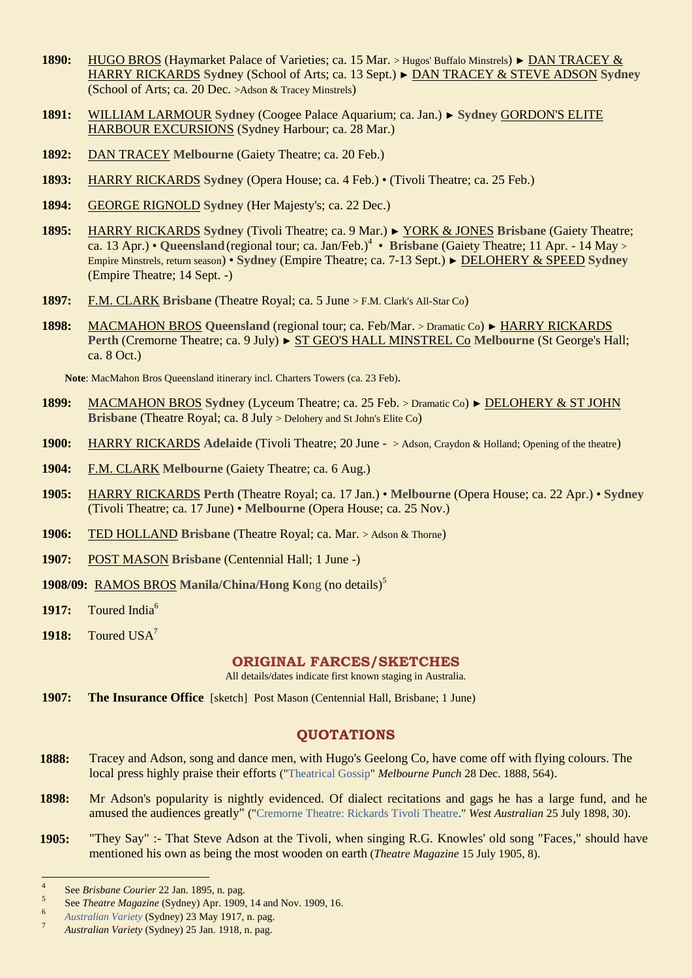- **1890:** HUGO BROS (Haymarket Palace of Varieties; ca. 15 Mar. > Hugos' Buffalo Minstrels) ► DAN TRACEY & HARRY RICKARDS **Sydney** (School of Arts; ca. 13 Sept.) ► DAN TRACEY & STEVE ADSON **Sydney** (School of Arts; ca. 20 Dec. >Adson & Tracey Minstrels)
- **1891:** WILLIAM LARMOUR **Sydney** (Coogee Palace Aquarium; ca. Jan.) ► **Sydney** GORDON'S ELITE HARBOUR EXCURSIONS (Sydney Harbour; ca. 28 Mar.)
- **1892:** DAN TRACEY **Melbourne** (Gaiety Theatre; ca. 20 Feb.)
- **1893:** HARRY RICKARDS **Sydney** (Opera House; ca. 4 Feb.) (Tivoli Theatre; ca. 25 Feb.)
- **1894:** GEORGE RIGNOLD **Sydney** (Her Majesty's; ca. 22 Dec.)
- **1895:** HARRY RICKARDS **Sydney** (Tivoli Theatre; ca. 9 Mar.) ► YORK & JONES **Brisbane** (Gaiety Theatre; ca. 13 Apr.) • Queensland (regional tour; ca. Jan/Feb.)<sup>4</sup> • Brisbane (Gaiety Theatre; 11 Apr. - 14 May > Empire Minstrels, return season) • **Sydney** (Empire Theatre; ca. 7-13 Sept.) ► DELOHERY & SPEED **Sydney**  (Empire Theatre; 14 Sept. -)
- **1897:** F.M. CLARK **Brisbane** (Theatre Royal; ca. 5 June > F.M. Clark's All-Star Co)
- **1898:** MACMAHON BROS **Queensland** (regional tour; ca. Feb/Mar. > Dramatic Co) ► HARRY RICKARDS **Perth** (Cremorne Theatre; ca. 9 July) ► ST GEO'S HALL MINSTREL Co **Melbourne** (St George's Hall; ca. 8 Oct.)

**Note**: MacMahon Bros Queensland itinerary incl. Charters Towers (ca. 23 Feb)*.*

- **1899:** MACMAHON BROS **Sydney** (Lyceum Theatre; ca. 25 Feb. > Dramatic Co) ► DELOHERY & ST JOHN **Brisbane** (Theatre Royal; ca. 8 July > Delohery and St John's Elite Co)
- **1900:** HARRY RICKARDS **Adelaide** (Tivoli Theatre; 20 June > Adson, Craydon & Holland; Opening of the theatre)
- **1904:** F.M. CLARK **Melbourne** (Gaiety Theatre; ca. 6 Aug.)
- **1905:** HARRY RICKARDS **Perth** (Theatre Royal; ca. 17 Jan.) **Melbourne** (Opera House; ca. 22 Apr.) **Sydney** (Tivoli Theatre; ca. 17 June) • **Melbourne** (Opera House; ca. 25 Nov.)
- **1906:** TED HOLLAND **Brisbane** (Theatre Royal; ca. Mar. > Adson & Thorne)
- **1907:** POST MASON **Brisbane** (Centennial Hall; 1 June -)

**1908/09:** RAMOS BROS **Manila/China/Hong Ko**ng (no details)<sup>5</sup>

- 1917: Toured India<sup>6</sup>
- 1918: Toured USA<sup>7</sup>

### **ORIGINAL FARCES/SKETCHES**

All details/dates indicate first known staging in Australia.

**1907: The Insurance Office** [sketch] Post Mason (Centennial Hall, Brisbane; 1 June)

# **QUOTATIONS**

- **1888:** Tracey and Adson, song and dance men, with Hugo's Geelong Co, have come off with flying colours. The local press highly praise their efforts (["Theatrical Gossip"](https://trove.nla.gov.au/newspaper/page/20439533) *Melbourne Punch* 28 Dec. 1888, 564).
- **1898:** Mr Adson's popularity is nightly evidenced. Of dialect recitations and gags he has a large fund, and he amused the audiences greatly" (["Cremorne Theatre: Rickards Tivoli Theatre.](https://trove.nla.gov.au/newspaper/article/3215774)" *West Australian* 25 July 1898, 30).
- **1905:** "They Say" :- That Steve Adson at the Tivoli, when singing R.G. Knowles' old song "Faces," should have mentioned his own as being the most wooden on earth (*Theatre Magazine* 15 July 1905, 8).

<sup>-&</sup>lt;br>4 See *Brisbane Courier* 22 Jan. 1895, n. pag.

<sup>5</sup> See *Theatre Magazine* (Sydney) Apr. 1909, 14 and Nov. 1909, 16.

<sup>6</sup> *[Australian Variety](https://ozvta.com/industry-misc-2/2/)* (Sydney) 23 May 1917, n. pag.

<sup>7</sup> *Australian Variety* (Sydney) 25 Jan. 1918, n. pag.